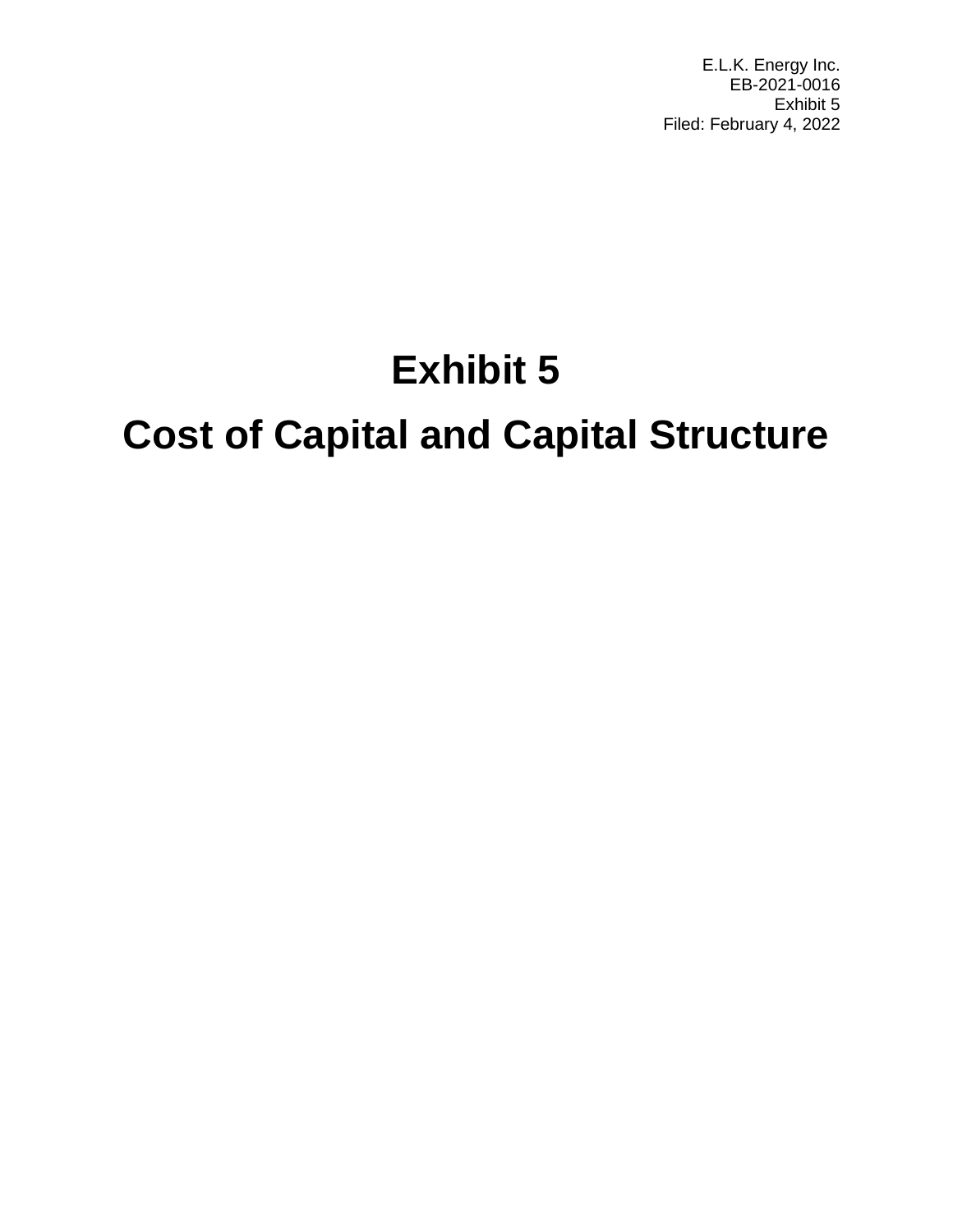E.L.K. Energy Inc. EB-2021-0016 Exhibit 5 Filed: February 4, 2022

# **Exhibit 5**

# **Cost of Capital and Capital Structure**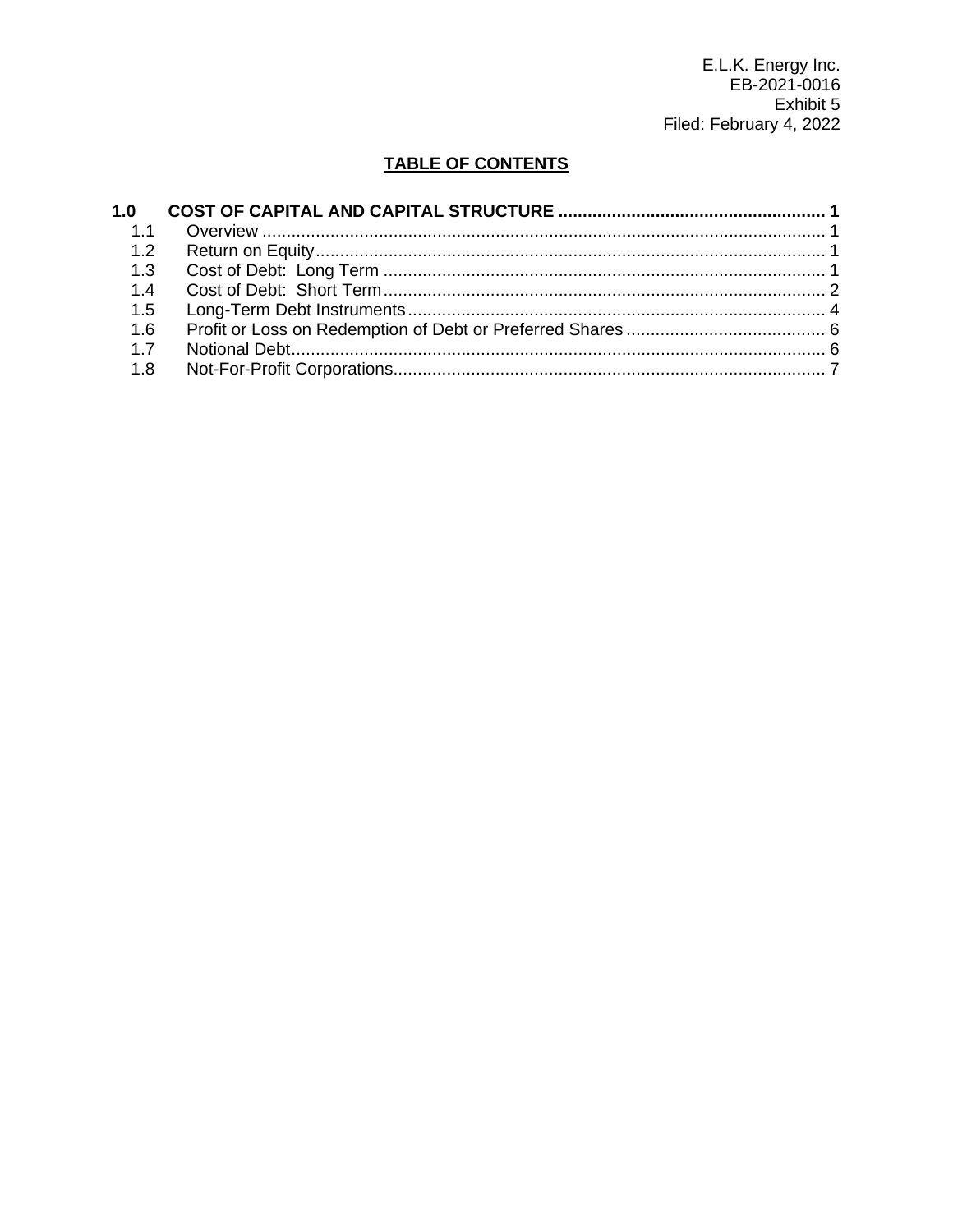E.L.K. Energy Inc.<br>EB-2021-0016 Exhibit 5 Filed: February 4, 2022

# **TABLE OF CONTENTS**

| 1.4 |  |
|-----|--|
|     |  |
| 1.6 |  |
|     |  |
| 1.8 |  |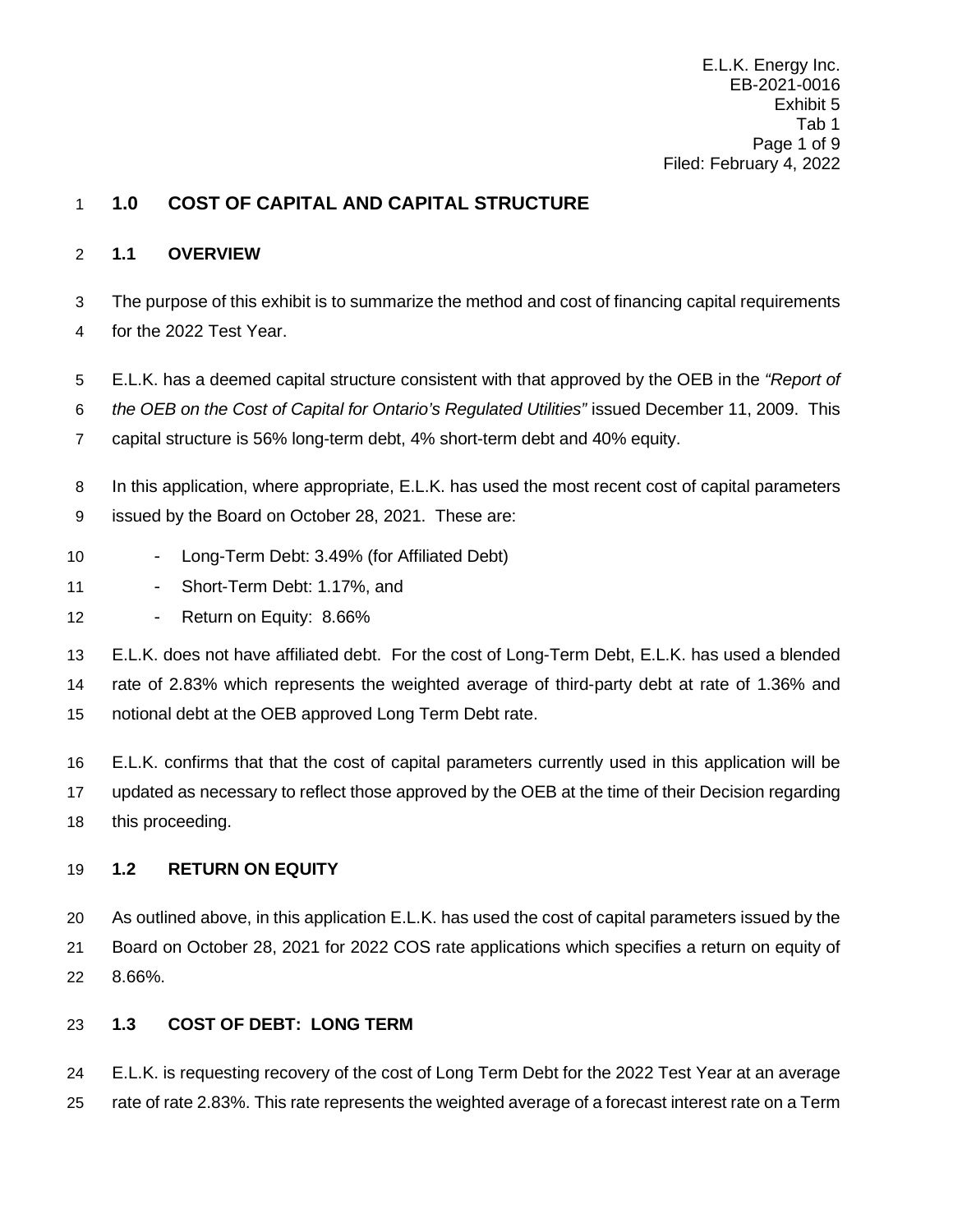E.L.K. Energy Inc. EB-2021-0016 Exhibit 5 Tab 1 Page 1 of 9 Filed: February 4, 2022

# <span id="page-2-0"></span>**1.0 COST OF CAPITAL AND CAPITAL STRUCTURE**

### <span id="page-2-1"></span>**1.1 OVERVIEW**

 The purpose of this exhibit is to summarize the method and cost of financing capital requirements for the 2022 Test Year.

E.L.K. has a deemed capital structure consistent with that approved by the OEB in the *"Report of* 

*the OEB on the Cost of Capital for Ontario's Regulated Utilities"* issued December 11, 2009. This

capital structure is 56% long-term debt, 4% short-term debt and 40% equity.

8 In this application, where appropriate, E.L.K. has used the most recent cost of capital parameters issued by the Board on October 28, 2021. These are:

- 10 Long-Term Debt: 3.49% (for Affiliated Debt)
- 11 Short-Term Debt: 1.17%, and
- 12 Return on Equity: 8.66%

 E.L.K. does not have affiliated debt. For the cost of Long-Term Debt, E.L.K. has used a blended rate of 2.83% which represents the weighted average of third-party debt at rate of 1.36% and notional debt at the OEB approved Long Term Debt rate.

 E.L.K. confirms that that the cost of capital parameters currently used in this application will be updated as necessary to reflect those approved by the OEB at the time of their Decision regarding this proceeding.

## <span id="page-2-2"></span>**1.2 RETURN ON EQUITY**

 As outlined above, in this application E.L.K. has used the cost of capital parameters issued by the Board on October 28, 2021 for 2022 COS rate applications which specifies a return on equity of 8.66%.

## <span id="page-2-3"></span>**1.3 COST OF DEBT: LONG TERM**

 E.L.K. is requesting recovery of the cost of Long Term Debt for the 2022 Test Year at an average rate of rate 2.83%. This rate represents the weighted average of a forecast interest rate on a Term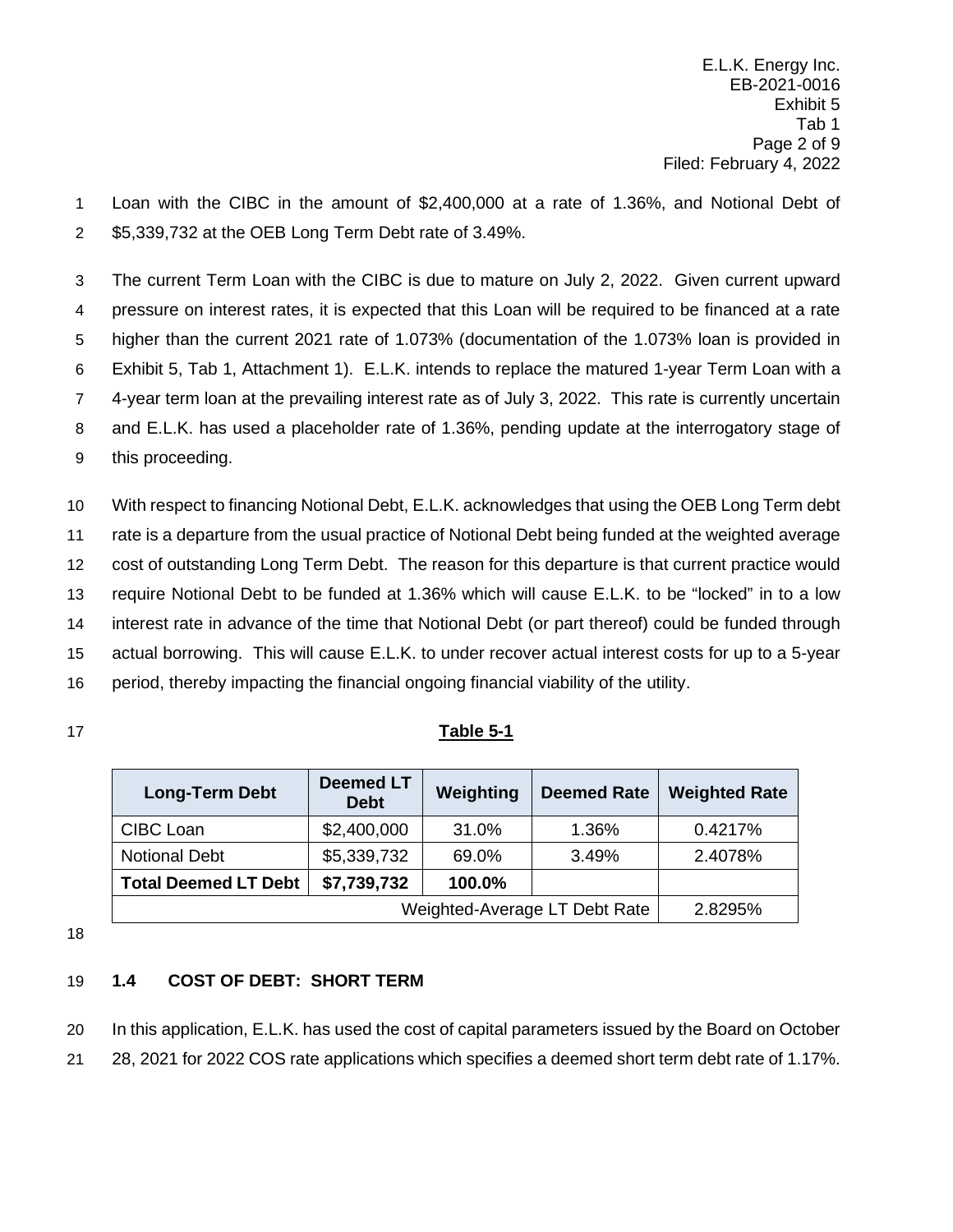E.L.K. Energy Inc. EB-2021-0016 Exhibit 5 Tab 1 Page 2 of 9 Filed: February 4, 2022

 Loan with the CIBC in the amount of \$2,400,000 at a rate of 1.36%, and Notional Debt of \$5,339,732 at the OEB Long Term Debt rate of 3.49%.

 The current Term Loan with the CIBC is due to mature on July 2, 2022. Given current upward pressure on interest rates, it is expected that this Loan will be required to be financed at a rate higher than the current 2021 rate of 1.073% (documentation of the 1.073% loan is provided in Exhibit 5, Tab 1, Attachment 1). E.L.K. intends to replace the matured 1-year Term Loan with a 4-year term loan at the prevailing interest rate as of July 3, 2022. This rate is currently uncertain and E.L.K. has used a placeholder rate of 1.36%, pending update at the interrogatory stage of this proceeding.

 With respect to financing Notional Debt, E.L.K. acknowledges that using the OEB Long Term debt rate is a departure from the usual practice of Notional Debt being funded at the weighted average cost of outstanding Long Term Debt. The reason for this departure is that current practice would require Notional Debt to be funded at 1.36% which will cause E.L.K. to be "locked" in to a low interest rate in advance of the time that Notional Debt (or part thereof) could be funded through actual borrowing. This will cause E.L.K. to under recover actual interest costs for up to a 5-year period, thereby impacting the financial ongoing financial viability of the utility.

## **Table 5-1**

| <b>Long-Term Debt</b>       | <b>Deemed LT</b><br><b>Debt</b> | Weighting | <b>Deemed Rate</b>            | <b>Weighted Rate</b> |
|-----------------------------|---------------------------------|-----------|-------------------------------|----------------------|
| CIBC Loan                   | \$2,400,000                     | 31.0%     | 1.36%                         | 0.4217%              |
| <b>Notional Debt</b>        | \$5,339,732                     | 69.0%     | 3.49%                         | 2.4078%              |
| <b>Total Deemed LT Debt</b> | \$7,739,732                     | 100.0%    |                               |                      |
|                             |                                 |           | Weighted-Average LT Debt Rate | 2.8295%              |

## <span id="page-3-0"></span>**1.4 COST OF DEBT: SHORT TERM**

In this application, E.L.K. has used the cost of capital parameters issued by the Board on October

28, 2021 for 2022 COS rate applications which specifies a deemed short term debt rate of 1.17%.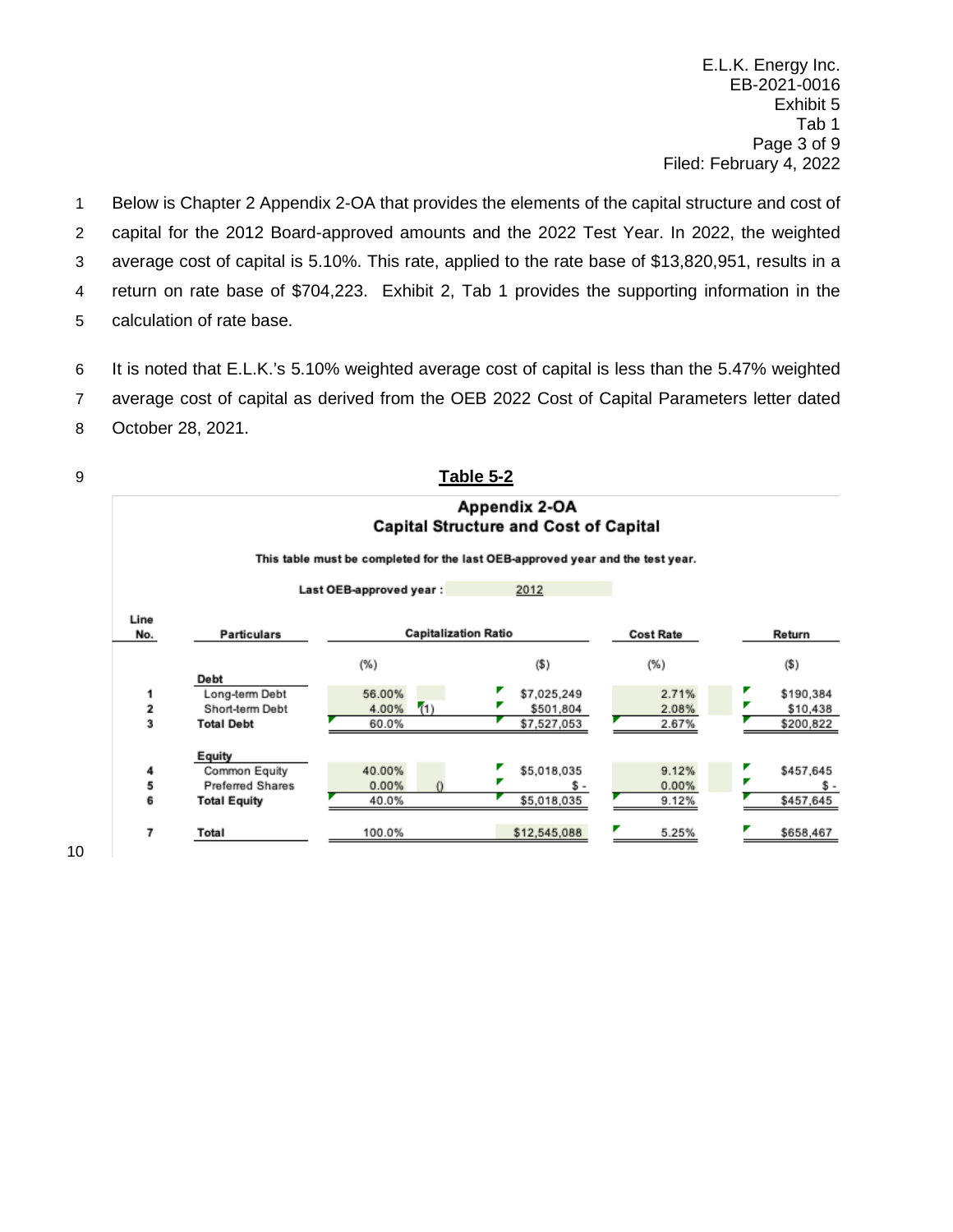E.L.K. Energy Inc. EB-2021-0016 Exhibit 5 Tab 1 Page 3 of 9 Filed: February 4, 2022

 Below is Chapter 2 Appendix 2-OA that provides the elements of the capital structure and cost of capital for the 2012 Board-approved amounts and the 2022 Test Year. In 2022, the weighted average cost of capital is 5.10%. This rate, applied to the rate base of \$13,820,951, results in a return on rate base of \$704,223. Exhibit 2, Tab 1 provides the supporting information in the calculation of rate base.

It is noted that E.L.K.'s 5.10% weighted average cost of capital is less than the 5.47% weighted

average cost of capital as derived from the OEB 2022 Cost of Capital Parameters letter dated

October 28, 2021.

|                         |                     |                                                                                | <u>Table 5-2</u>                                              |                  |           |
|-------------------------|---------------------|--------------------------------------------------------------------------------|---------------------------------------------------------------|------------------|-----------|
|                         |                     |                                                                                | Appendix 2-OA<br><b>Capital Structure and Cost of Capital</b> |                  |           |
|                         |                     | This table must be completed for the last OEB-approved year and the test year. |                                                               |                  |           |
|                         |                     | Last OEB-approved year:                                                        | 2012                                                          |                  |           |
| Line<br>No.             | <b>Particulars</b>  | <b>Capitalization Ratio</b>                                                    |                                                               | <b>Cost Rate</b> | Return    |
|                         | Debt                | $(\%)$                                                                         | (\$)                                                          | $(\%)$           | (5)       |
| 1                       | Long-term Debt      | 56.00%                                                                         | \$7,025,249                                                   | 2.71%            | \$190,384 |
| $\overline{\mathbf{2}}$ | Short-term Debt     | (1)<br>4.00%                                                                   | \$501,804                                                     | 2.08%            | \$10,438  |
| 3                       | <b>Total Debt</b>   | 60.0%                                                                          | \$7,527,053                                                   | 2.67%            | \$200,822 |
|                         | Equity              |                                                                                |                                                               |                  |           |
| 4                       | Common Equity       | 40.00%                                                                         | \$5,018,035                                                   | 9.12%            | \$457,645 |
| 5                       | Preferred Shares    | 0.00%                                                                          | \$ -                                                          | 0.00%            | s.        |
| 6                       | <b>Total Equity</b> | 40.0%                                                                          | \$5,018,035                                                   | 9.12%            | \$457,645 |
| 7                       | Total               | 100.0%                                                                         | \$12,545,088                                                  | 5.25%            | \$658,467 |
|                         |                     |                                                                                |                                                               |                  |           |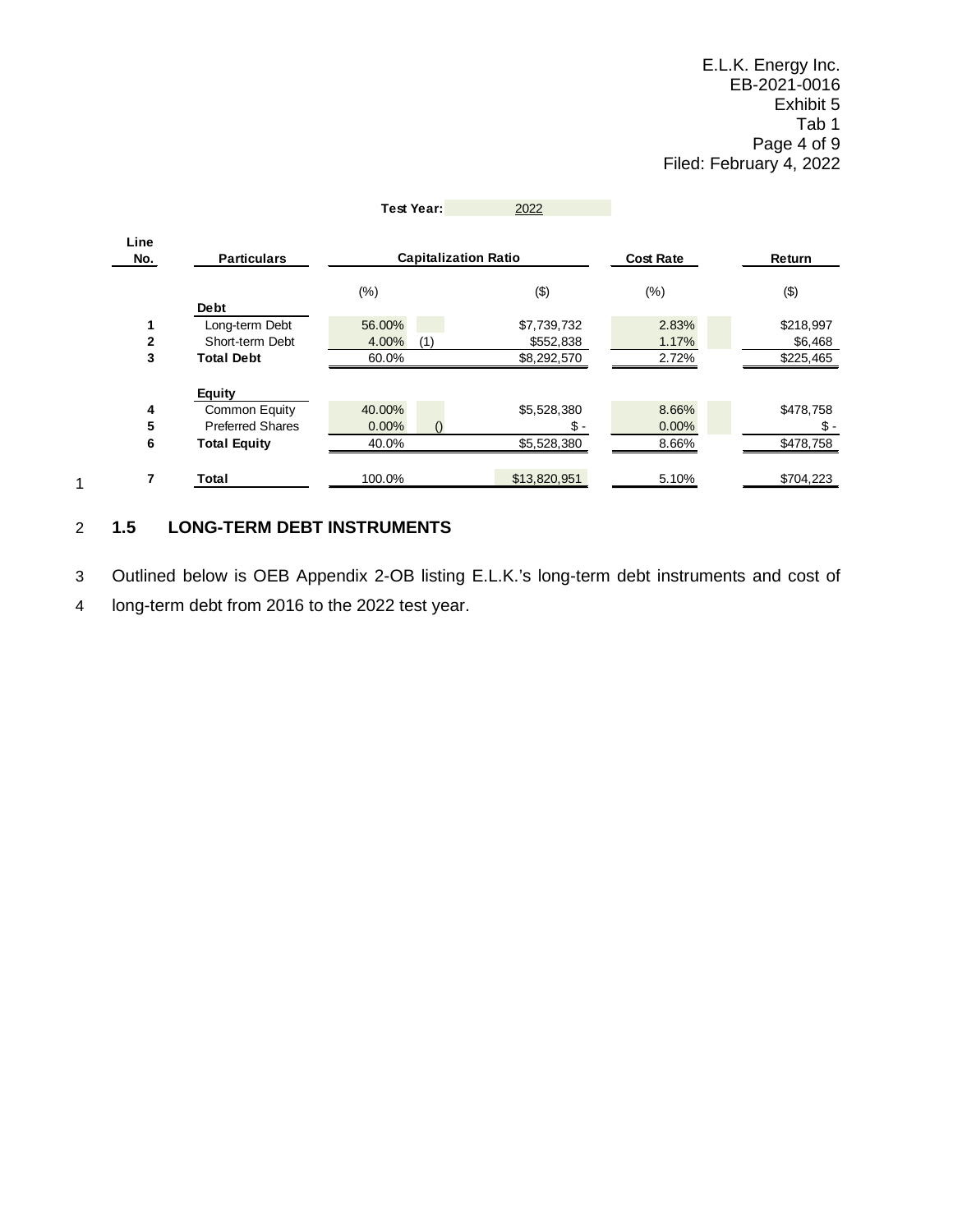|                |                         | <b>Test Year:</b>           | 2022         |                  |               |
|----------------|-------------------------|-----------------------------|--------------|------------------|---------------|
| Line<br>No.    | <b>Particulars</b>      | <b>Capitalization Ratio</b> |              | <b>Cost Rate</b> | <b>Return</b> |
|                |                         | $(\%)$                      | ( \$)        | $(\%)$           | (3)           |
|                | <b>Debt</b>             |                             |              |                  |               |
|                | Long-term Debt          | 56.00%                      | \$7,739,732  | 2.83%            | \$218,997     |
| $\overline{2}$ | Short-term Debt         | 4.00%<br>(1)                | \$552,838    | 1.17%            | \$6,468       |
| 3              | <b>Total Debt</b>       | 60.0%                       | \$8,292,570  | 2.72%            | \$225,465     |
|                | <b>Equity</b>           |                             |              |                  |               |
| 4              | Common Equity           | 40.00%                      | \$5,528,380  | 8.66%            | \$478,758     |
| 5              | <b>Preferred Shares</b> | $0.00\%$                    | \$-          | $0.00\%$         | \$-           |
| 6              | <b>Total Equity</b>     | 40.0%                       | \$5,528,380  | 8.66%            | \$478,758     |
| 7              | Total                   | 100.0%                      | \$13,820,951 | 5.10%            | \$704,223     |

# <span id="page-5-0"></span>2 **1.5 LONG-TERM DEBT INSTRUMENTS**

1

3 Outlined below is OEB Appendix 2-OB listing E.L.K.'s long-term debt instruments and cost of

4 long-term debt from 2016 to the 2022 test year.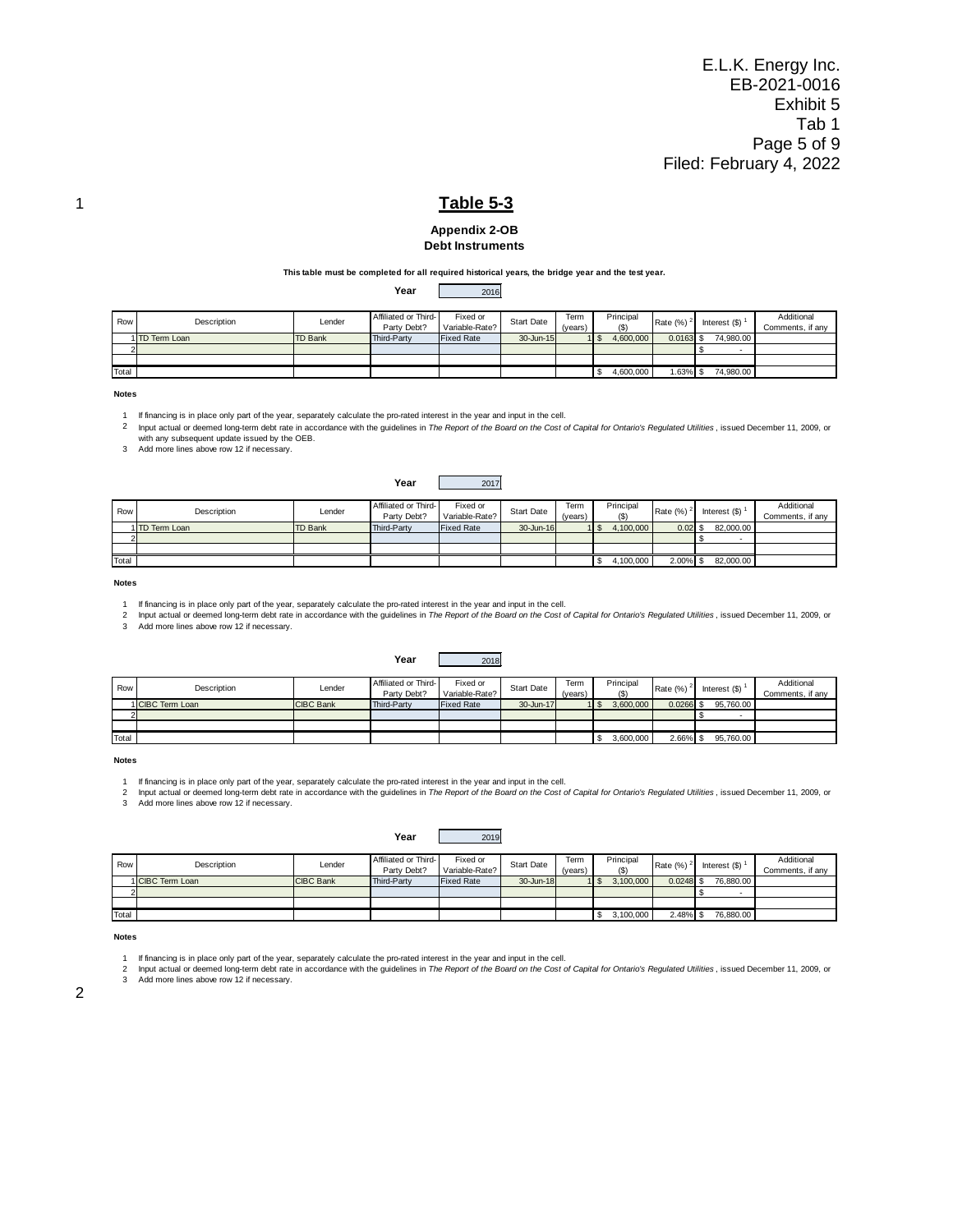E.L.K. Energy Inc. EB-2021-0016 Exhibit 5 Tab 1 Page 5 of 9 Filed: February 4, 2022



#### **Appendix 2-OB Debt Instruments**

#### **This table must be completed for all required historical years, the bridge year and the test year.**

**Year** 2016

| Row   | Description    | Lender         | Affiliated or Third-<br>Party Debt? | Fixed or<br>Variable-Rate? | Start Date | Term<br>(vears) | Principal<br>(S) | Rate $(%)^2$ | Interest $(S)$ | Additional<br>Comments, if any |
|-------|----------------|----------------|-------------------------------------|----------------------------|------------|-----------------|------------------|--------------|----------------|--------------------------------|
|       | 1 TD Term Loan | <b>TD Bank</b> | Third-Party                         | <b>Fixed Rate</b>          | 30-Jun-15  |                 | 4.600.000        | $0.0163$ \$  | 74.980.00      |                                |
|       |                |                |                                     |                            |            |                 |                  |              |                |                                |
|       |                |                |                                     |                            |            |                 |                  |              |                |                                |
| Total |                |                |                                     |                            |            |                 | 4,600,000        | $.63\%$ \$   | 74,980.00      |                                |

**Notes**

1 If financing is in place only part of the year, separately calculate the pro-rated interest in the year and input in the cell.

2 Input actual or deemed long-term debt rate in accordance with the guidelines in *The Report of the Board on the Cost of Capital for Ontario's Regulated Utilities* , issued December 11, 2009, or with any subsequent update issued by the OEB.

3 Add more lines above row 12 if necessary.

|       |                |                | Year                                | 2017                       |                   |                 |                  |             |                    |                                |
|-------|----------------|----------------|-------------------------------------|----------------------------|-------------------|-----------------|------------------|-------------|--------------------|--------------------------------|
| Row   | Description    | Lender         | Affiliated or Third-<br>Party Debt? | Fixed or<br>Variable-Rate? | <b>Start Date</b> | Term<br>(years) | Principal<br>(5) | Rate (%)    | Interest $($ math) | Additional<br>Comments, if any |
|       | 1 TD Term Loan | <b>TD Bank</b> | Third-Party                         | <b>Fixed Rate</b>          | 30-Jun-16         |                 | 4,100,000        | 0.02S       | 82,000.00          |                                |
|       |                |                |                                     |                            |                   |                 |                  |             |                    |                                |
|       |                |                |                                     |                            |                   |                 |                  |             |                    |                                |
| Total |                |                |                                     |                            |                   |                 | 4,100,000        | $2.00\%$ \$ | 82,000.00          |                                |

**Notes**

1 If financing is in place only part of the year, separately calculate the pro-rated interest in the year and input in the cell.

2 Input actual or deemed long-term debt rate in accordance with the guidelines in *The Report of the Board on the Cost of Capital for Ontario's Regulated Utilities* , issued December 11, 2009, or<br>3 Add more lines above row

**Year** 2018

| Row   | Description      | Lender           | Affiliated or Third-<br>Party Debt? | Fixed or<br>Variable-Rate? | <b>Start Date</b> | Term<br>(vears) | Principal<br>(S) | Rate (%)    | Interest (\$) | Additional<br>Comments, if anv |
|-------|------------------|------------------|-------------------------------------|----------------------------|-------------------|-----------------|------------------|-------------|---------------|--------------------------------|
|       | 1 CIBC Term Loan | <b>CIBC Bank</b> | Third-Party                         | <b>Fixed Rate</b>          | 30-Jun-17         |                 | 3.600.000        | $0.0266$ \$ | 95,760.00     |                                |
|       |                  |                  |                                     |                            |                   |                 |                  |             |               |                                |
|       |                  |                  |                                     |                            |                   |                 |                  |             |               |                                |
| Total |                  |                  |                                     |                            |                   |                 | 3,600,000        | $2.66\%$ \$ | 95,760,00     |                                |

**Notes**

1

2 3 Add more lines above row 12 if necessary. lf financing is in place only part of the year, separately calculate the pro-rated interest in the year and input in the cell.<br>Input actual or deemed long-term debt rate in accordance with the guidelines in *The Report of* 

| Row   | Description      | Lender           | Affiliated or Third- | Fixed or          | <b>Start Date</b> | Term    | Principal | Rate (%)    | Interest $(\$ | Additional       |
|-------|------------------|------------------|----------------------|-------------------|-------------------|---------|-----------|-------------|---------------|------------------|
|       |                  |                  | Party Debt?          | Variable-Rate?    |                   | (years) | ັ         |             |               | Comments, if any |
|       | 1 CIBC Term Loan | <b>CIBC Bank</b> | Third-Party          | <b>Fixed Rate</b> | 30-Jun-18         |         | 3.100,000 | $0.0248$ \$ | 76.880.00     |                  |
|       |                  |                  |                      |                   |                   |         |           |             |               |                  |
|       |                  |                  |                      |                   |                   |         |           |             |               |                  |
| Total |                  |                  |                      |                   |                   |         | 3,100,000 | $2.48\%$ \$ | 76,880.00     |                  |

**Year** 2019

#### **Notes**

1 If financing is in place only part of the year, separately calculate the pro-rated interest in the year and input in the cell.

2 Input actual or deemed long-term debt rate in accordance with the guidelines in *The Report of the Board on the Cost of Capital for Ontario's Regulated Utilities* , issued December 11, 2009, or 3 Add more lines above row 12 if necessary.

| ł<br>I |
|--------|
|        |
| I<br>٠ |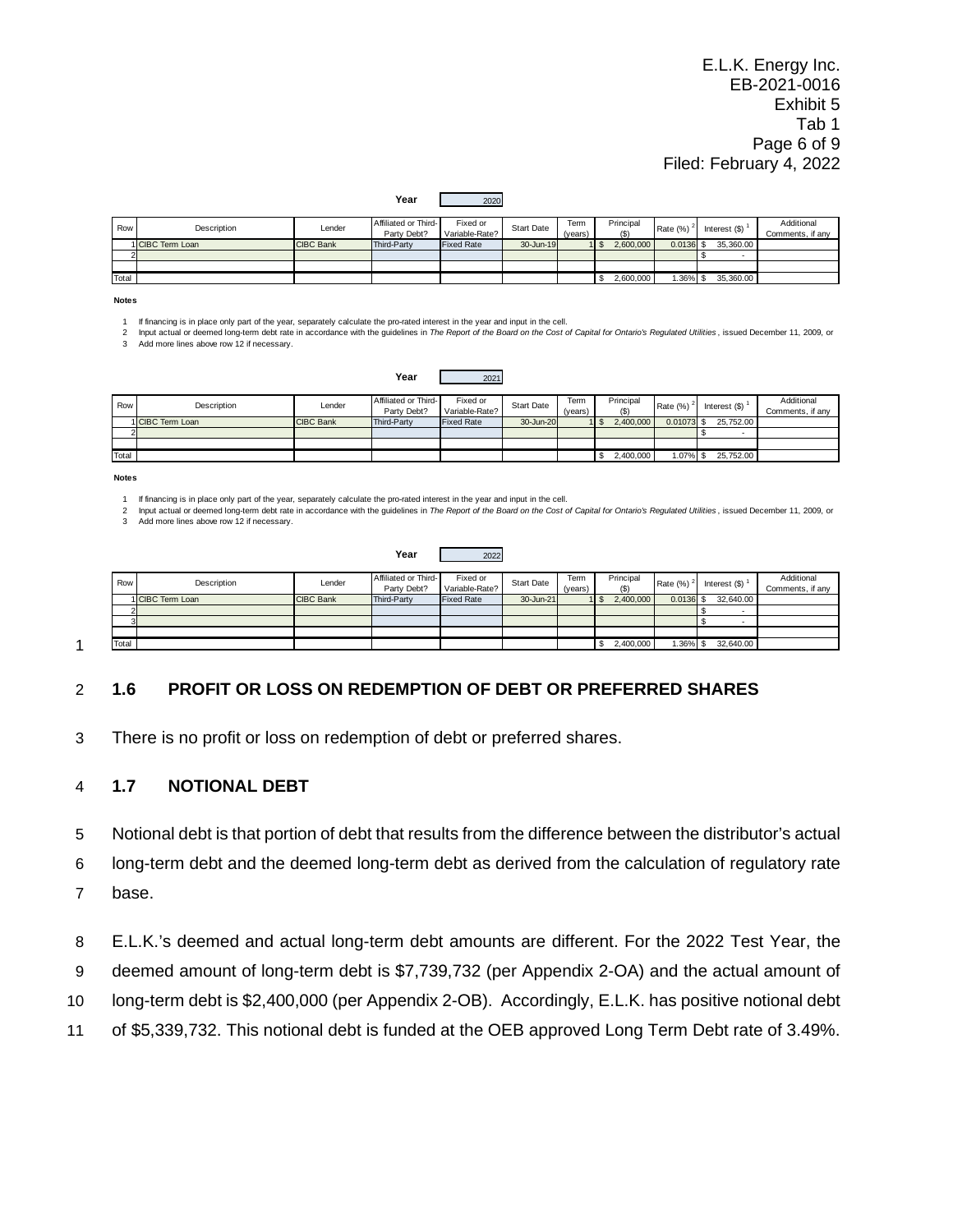E.L.K. Energy Inc. EB-2021-0016 Exhibit 5 Tab 1 Page 6 of 9 Filed: February 4, 2022

| Row   | Description      | Lender           | Affiliated or Third- | Fixed or          | <b>Start Date</b> | Term    | Principal | Rate (%)    | Interest $(S)$ | Additional       |
|-------|------------------|------------------|----------------------|-------------------|-------------------|---------|-----------|-------------|----------------|------------------|
|       |                  |                  | Party Debt?          | Variable-Rate?    |                   | (years) | (S)       |             |                | Comments, if any |
|       | 1 CIBC Term Loan | <b>CIBC Bank</b> | Third-Party          | <b>Fixed Rate</b> | $30 - Jun-19$     |         | 2.600,000 | $0.0136$ \$ | 35,360,00      |                  |
|       |                  |                  |                      |                   |                   |         |           |             |                |                  |
|       |                  |                  |                      |                   |                   |         |           |             |                |                  |
| Total |                  |                  |                      |                   |                   |         | 2,600,000 | $1.36\%$ \$ | 35,360,00      |                  |

**Year** 2020

**Notes**

1 If financing is in place only part of the year, separately calculate the pro-rated interest in the year and input in the cell.

2 3 Add more lines above row 12 if necessary. Input actual or deemed long-term debt rate in accordance with the guidelines in The Report of the Board on the Cost of Capital for Ontario's Regulated Utilities, issued December 11, 2009, or

|       |                  |                  | Year                                | 2021                       |                   |                 |                  |              |                    |                                |
|-------|------------------|------------------|-------------------------------------|----------------------------|-------------------|-----------------|------------------|--------------|--------------------|--------------------------------|
| Row   | Description      | Lender           | Affiliated or Third-<br>Party Debt? | Fixed or<br>Variable-Rate? | <b>Start Date</b> | Term<br>(years) | Principal<br>(S) | Rate (%)     | Interest $($ math) | Additional<br>Comments, if any |
|       | 1 CIBC Term Loan | <b>CIBC Bank</b> | Third-Party                         | <b>Fixed Rate</b>          | 30-Jun-20         |                 | 2,400,000        | $0.01073$ \$ | 25,752.00          |                                |
|       |                  |                  |                                     |                            |                   |                 |                  |              |                    |                                |
|       |                  |                  |                                     |                            |                   |                 |                  |              |                    |                                |
| Total |                  |                  |                                     |                            |                   |                 | 2,400,000        | 1.07%        | 25,752.00          |                                |

#### **Notes**

1 If financing is in place only part of the year, separately calculate the pro-rated interest in the year and input in the cell.

2 Input actual or deemed long-term debt rate in accordance with the guidelines in *The Report of the Board on the Cost of Capital for Ontario's Regulated Utilities* , issued December 11, 2009, or 3 Add more lines above row 12 if necessary.

| 2022<br>Year |
|--------------|
|--------------|

| Row   | Description      | Lender           | Affiliated or Third- | Fixed or          | Start Date | Term    | Principal | Rate (%)     | Interest $(S)$ | Additional       |
|-------|------------------|------------------|----------------------|-------------------|------------|---------|-----------|--------------|----------------|------------------|
|       |                  |                  | Party Debt?          | Variable-Rate?    |            | (years) | (S)       |              |                | Comments, if any |
|       | 1 CIBC Term Loan | <b>CIBC Bank</b> | Third-Party          | <b>Fixed Rate</b> | 30-Jun-21  |         | 2.400.000 | $0.0136$ \$  | 32.640.00      |                  |
|       |                  |                  |                      |                   |            |         |           |              |                |                  |
| 3     |                  |                  |                      |                   |            |         |           |              |                |                  |
|       |                  |                  |                      |                   |            |         |           |              |                |                  |
| Total |                  |                  |                      |                   |            |         | 2,400,000 | $.36\%$ \ \$ | 32,640.00      |                  |

1

### <span id="page-7-0"></span>2 **1.6 PROFIT OR LOSS ON REDEMPTION OF DEBT OR PREFERRED SHARES**

3 There is no profit or loss on redemption of debt or preferred shares.

#### <span id="page-7-1"></span>4 **1.7 NOTIONAL DEBT**

5 Notional debt is that portion of debt that results from the difference between the distributor's actual

6 long-term debt and the deemed long-term debt as derived from the calculation of regulatory rate 7 base.

8 E.L.K.'s deemed and actual long-term debt amounts are different. For the 2022 Test Year, the 9 deemed amount of long-term debt is \$7,739,732 (per Appendix 2-OA) and the actual amount of 10 long-term debt is \$2,400,000 (per Appendix 2-OB). Accordingly, E.L.K. has positive notional debt

11 of \$5,339,732. This notional debt is funded at the OEB approved Long Term Debt rate of 3.49%.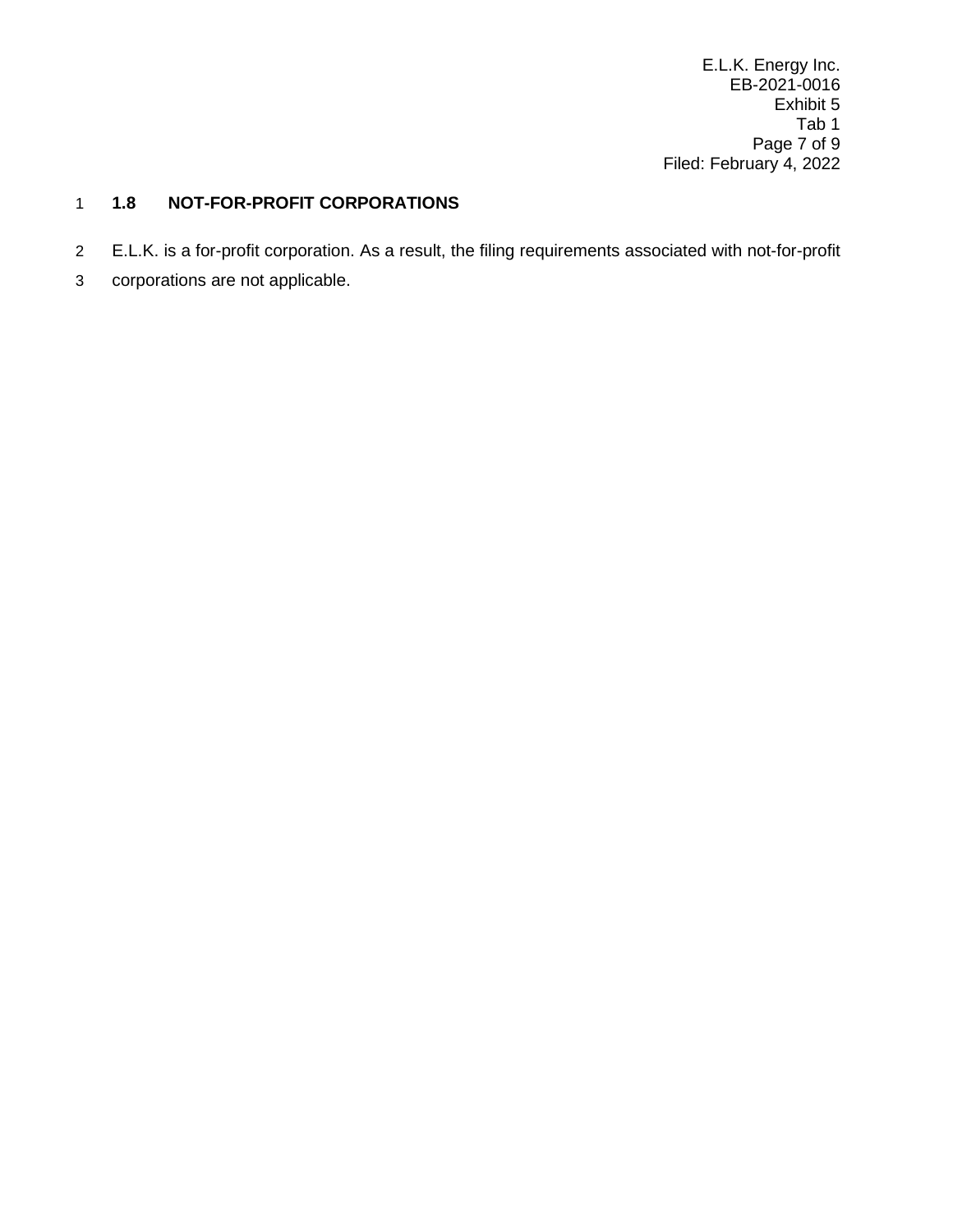E.L.K. Energy Inc. EB-2021-0016 Exhibit 5 Tab 1 Page 7 of 9 Filed: February 4, 2022

# <span id="page-8-0"></span>1 **1.8 NOT-FOR-PROFIT CORPORATIONS**

- 2 E.L.K. is a for-profit corporation. As a result, the filing requirements associated with not-for-profit
- 3 corporations are not applicable.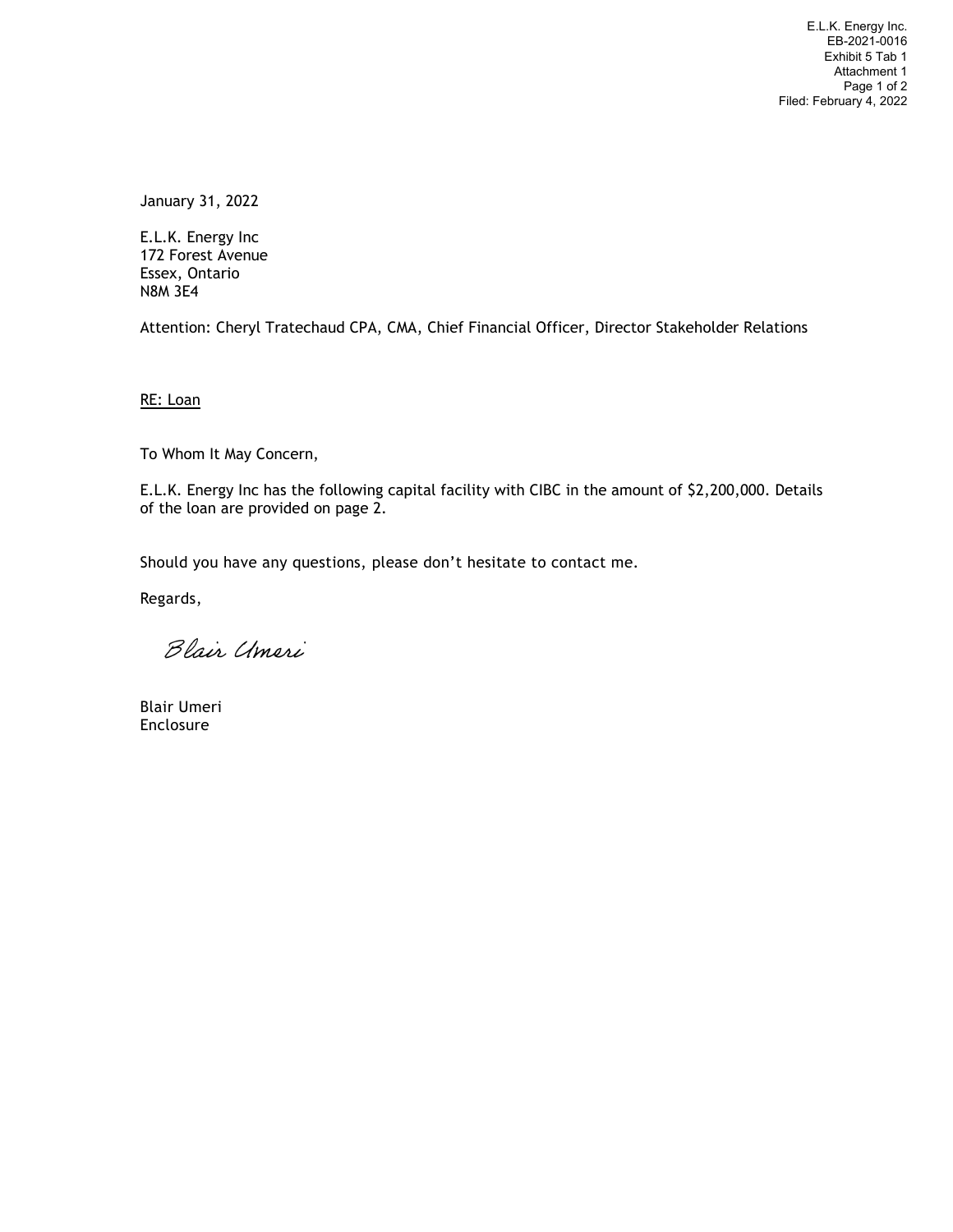E.L.K. Energy Inc. EB-2021-0016 Exhibit 5 Tab 1 Attachment 1 Page 1 of 2 Filed: February 4, 2022

January 31, 2022

E.L.K. Energy Inc 172 Forest Avenue Essex, Ontario N8M 3E4

Attention: Cheryl Tratechaud CPA, CMA, Chief Financial Officer, Director Stakeholder Relations

RE: Loan

To Whom It May Concern,

E.L.K. Energy Inc has the following capital facility with CIBC in the amount of \$2,200,000. Details of the loan are provided on page 2.

Should you have any questions, please don't hesitate to contact me.

Regards,

Blair Umeri

Blair Umeri Enclosure